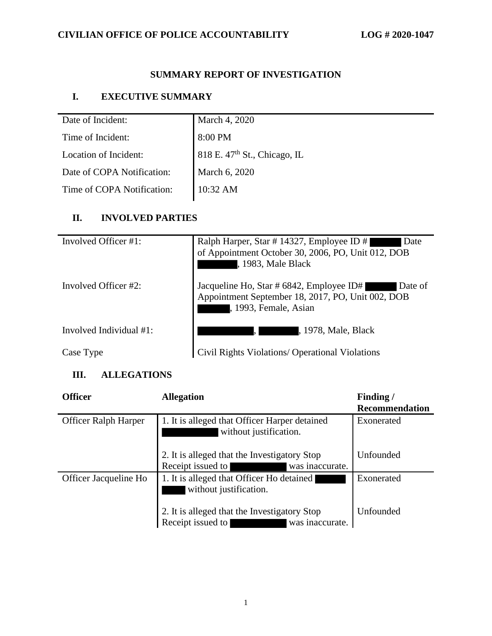## **CIVILIAN OFFICE OF POLICE ACCOUNTABILITY LOG # 2020-1047**

# **SUMMARY REPORT OF INVESTIGATION**

## **I. EXECUTIVE SUMMARY**

| Date of Incident:          | March 4, 2020                            |
|----------------------------|------------------------------------------|
| Time of Incident:          | 8:00 PM                                  |
| Location of Incident:      | 818 E. 47 <sup>th</sup> St., Chicago, IL |
| Date of COPA Notification: | March 6, 2020                            |
| Time of COPA Notification: | $10:32 \text{ AM}$                       |

#### **II. INVOLVED PARTIES**

| Involved Officer #1:       | Ralph Harper, Star #14327, Employee ID #<br>Date<br>of Appointment October 30, 2006, PO, Unit 012, DOB<br>, 1983, Male Black      |
|----------------------------|-----------------------------------------------------------------------------------------------------------------------------------|
| Involved Officer #2:       | Jacqueline Ho, Star # 6842, Employee ID#<br>Date of<br>Appointment September 18, 2017, PO, Unit 002, DOB<br>, 1993, Female, Asian |
| Involved Individual $#1$ : | , 1978, Male, Black                                                                                                               |
| Case Type                  | Civil Rights Violations/ Operational Violations                                                                                   |

### **III. ALLEGATIONS**

| <b>Officer</b>              | <b>Allegation</b>                                                                    | Finding/<br>Recommendation |
|-----------------------------|--------------------------------------------------------------------------------------|----------------------------|
| <b>Officer Ralph Harper</b> | 1. It is alleged that Officer Harper detained<br>without justification.              | Exonerated                 |
|                             | 2. It is alleged that the Investigatory Stop<br>Receipt issued to<br>was inaccurate. | Unfounded                  |
| Officer Jacqueline Ho       | 1. It is alleged that Officer Ho detained<br>without justification.                  | Exonerated                 |
|                             | 2. It is alleged that the Investigatory Stop<br>Receipt issued to<br>was inaccurate. | Unfounded                  |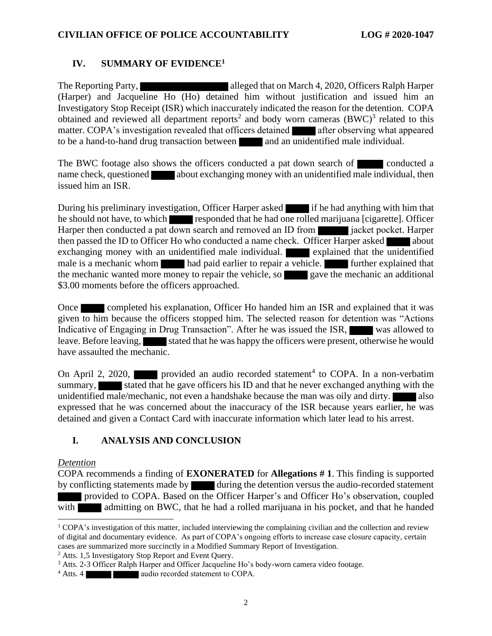#### **IV. SUMMARY OF EVIDENCE<sup>1</sup>**

The Reporting Party, alleged that on March 4, 2020, Officers Ralph Harper (Harper) and Jacqueline Ho (Ho) detained him without justification and issued him an Investigatory Stop Receipt (ISR) which inaccurately indicated the reason for the detention. COPA obtained and reviewed all department reports<sup>2</sup> and body worn cameras  $(BWC)^3$  related to this matter. COPA's investigation revealed that officers detained after observing what appeared to be a hand-to-hand drug transaction between and an unidentified male individual.

The BWC footage also shows the officers conducted a pat down search of conducted a name check, questioned about exchanging money with an unidentified male individual, then issued him an ISR.

During his preliminary investigation, Officer Harper asked if he had anything with him that he should not have, to which responded that he had one rolled marijuana [cigarette]. Officer Harper then conducted a pat down search and removed an ID from **interest in a** jacket pocket. Harper then passed the ID to Officer Ho who conducted a name check. Officer Harper asked about exchanging money with an unidentified male individual. **Explained that the unidentified** male is a mechanic whom had paid earlier to repair a vehicle. **Further explained that** the mechanic wanted more money to repair the vehicle, so gave the mechanic an additional \$3.00 moments before the officers approached.

Once completed his explanation, Officer Ho handed him an ISR and explained that it was given to him because the officers stopped him. The selected reason for detention was "Actions Indicative of Engaging in Drug Transaction". After he was issued the ISR, was allowed to leave. Before leaving, stated that he was happy the officers were present, otherwise he would have assaulted the mechanic.

On April 2, 2020, provided an audio recorded statement<sup>4</sup> to COPA. In a non-verbatim summary, stated that he gave officers his ID and that he never exchanged anything with the unidentified male/mechanic, not even a handshake because the man was oily and dirty. also expressed that he was concerned about the inaccuracy of the ISR because years earlier, he was detained and given a Contact Card with inaccurate information which later lead to his arrest.

### **I. ANALYSIS AND CONCLUSION**

#### *Detention*

COPA recommends a finding of **EXONERATED** for **Allegations # 1**. This finding is supported by conflicting statements made by during the detention versus the audio-recorded statement provided to COPA. Based on the Officer Harper's and Officer Ho's observation, coupled with admitting on BWC, that he had a rolled marijuana in his pocket, and that he handed

<sup>2</sup> Atts. 1,5 Investigatory Stop Report and Event Query.

 $1$  COPA's investigation of this matter, included interviewing the complaining civilian and the collection and review of digital and documentary evidence. As part of COPA's ongoing efforts to increase case closure capacity, certain cases are summarized more succinctly in a Modified Summary Report of Investigation.

<sup>3</sup> Atts. 2-3 Officer Ralph Harper and Officer Jacqueline Ho's body-worn camera video footage.

<sup>&</sup>lt;sup>4</sup> Atts. 4 **audio** recorded statement to COPA.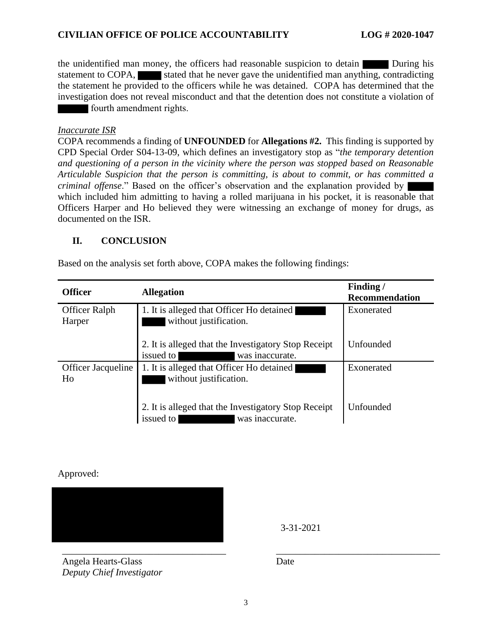the unidentified man money, the officers had reasonable suspicion to detain During his statement to COPA, stated that he never gave the unidentified man anything, contradicting the statement he provided to the officers while he was detained. COPA has determined that the investigation does not reveal misconduct and that the detention does not constitute a violation of fourth amendment rights.

#### *Inaccurate ISR*

COPA recommends a finding of **UNFOUNDED** for **Allegations #2.** This finding is supported by CPD Special Order S04-13-09, which defines an investigatory stop as "*the temporary detention and questioning of a person in the vicinity where the person was stopped based on Reasonable Articulable Suspicion that the person is committing, is about to commit, or has committed a criminal offense*." Based on the officer's observation and the explanation provided by which included him admitting to having a rolled marijuana in his pocket, it is reasonable that Officers Harper and Ho believed they were witnessing an exchange of money for drugs, as documented on the ISR.

#### **II. CONCLUSION**

Based on the analysis set forth above, COPA makes the following findings:

| <b>Officer</b>                  | <b>Allegation</b>                                                                    | Finding/<br>Recommendation |
|---------------------------------|--------------------------------------------------------------------------------------|----------------------------|
| Officer Ralph<br>Harper         | 1. It is alleged that Officer Ho detained<br>without justification.                  | Exonerated                 |
|                                 | 2. It is alleged that the Investigatory Stop Receipt<br>issued to<br>was inaccurate. | <b>Unfounded</b>           |
| <b>Officer Jacqueline</b><br>Ho | 1. It is alleged that Officer Ho detained<br>without justification.                  | Exonerated                 |
|                                 | 2. It is alleged that the Investigatory Stop Receipt<br>issued to<br>was inaccurate. | Unfounded                  |

Approved:

3-31-2021

Angela Hearts-Glass *Deputy Chief Investigator*

Date

\_\_\_\_\_\_\_\_\_\_\_\_\_\_\_\_\_\_\_\_\_\_\_\_\_\_\_\_\_\_\_\_\_\_ \_\_\_\_\_\_\_\_\_\_\_\_\_\_\_\_\_\_\_\_\_\_\_\_\_\_\_\_\_\_\_\_\_\_